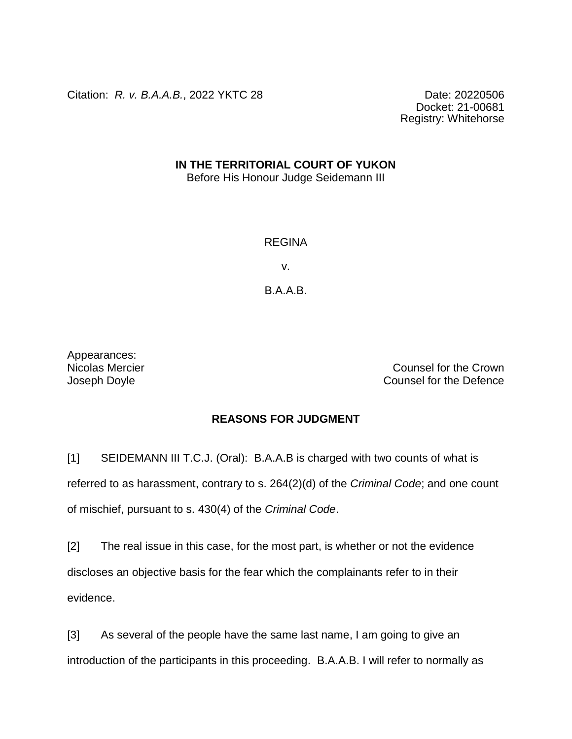Citation: *R. v. B.A.A.B.*, 2022 YKTC 28 Date: 20220506

Docket: 21-00681 Registry: Whitehorse

## **IN THE TERRITORIAL COURT OF YUKON**

Before His Honour Judge Seidemann III

## REGINA

v.

B.A.A.B.

Appearances:

Nicolas Mercier Counsel for the Crown **Joseph Doyle** Counsel for the Defence

## **REASONS FOR JUDGMENT**

[1] SEIDEMANN III T.C.J. (Oral): B.A.A.B is charged with two counts of what is referred to as harassment, contrary to s. 264(2)(d) of the *Criminal Code*; and one count of mischief, pursuant to s. 430(4) of the *Criminal Code*.

[2] The real issue in this case, for the most part, is whether or not the evidence discloses an objective basis for the fear which the complainants refer to in their evidence.

[3] As several of the people have the same last name, I am going to give an introduction of the participants in this proceeding. B.A.A.B. I will refer to normally as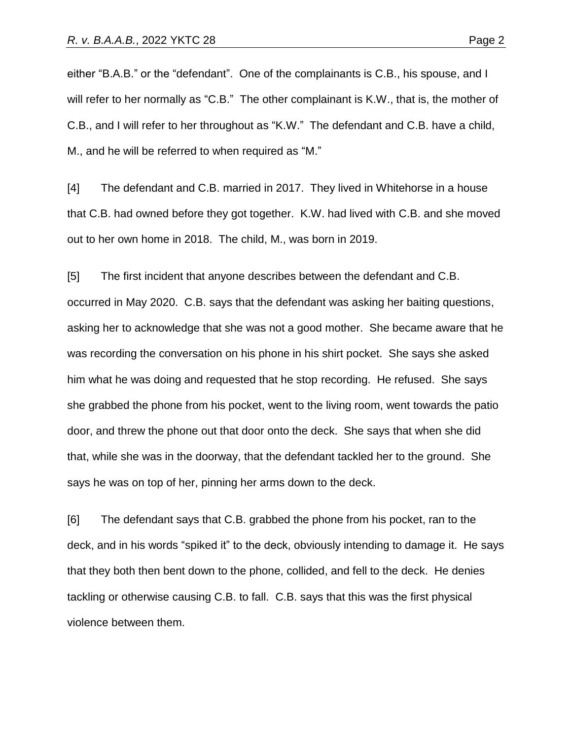either "B.A.B." or the "defendant". One of the complainants is C.B., his spouse, and I will refer to her normally as "C.B." The other complainant is K.W., that is, the mother of C.B., and I will refer to her throughout as "K.W." The defendant and C.B. have a child, M., and he will be referred to when required as "M."

[4] The defendant and C.B. married in 2017. They lived in Whitehorse in a house that C.B. had owned before they got together. K.W. had lived with C.B. and she moved out to her own home in 2018. The child, M., was born in 2019.

[5] The first incident that anyone describes between the defendant and C.B. occurred in May 2020. C.B. says that the defendant was asking her baiting questions, asking her to acknowledge that she was not a good mother. She became aware that he was recording the conversation on his phone in his shirt pocket. She says she asked him what he was doing and requested that he stop recording. He refused. She says she grabbed the phone from his pocket, went to the living room, went towards the patio door, and threw the phone out that door onto the deck. She says that when she did that, while she was in the doorway, that the defendant tackled her to the ground. She says he was on top of her, pinning her arms down to the deck.

[6] The defendant says that C.B. grabbed the phone from his pocket, ran to the deck, and in his words "spiked it" to the deck, obviously intending to damage it. He says that they both then bent down to the phone, collided, and fell to the deck. He denies tackling or otherwise causing C.B. to fall. C.B. says that this was the first physical violence between them.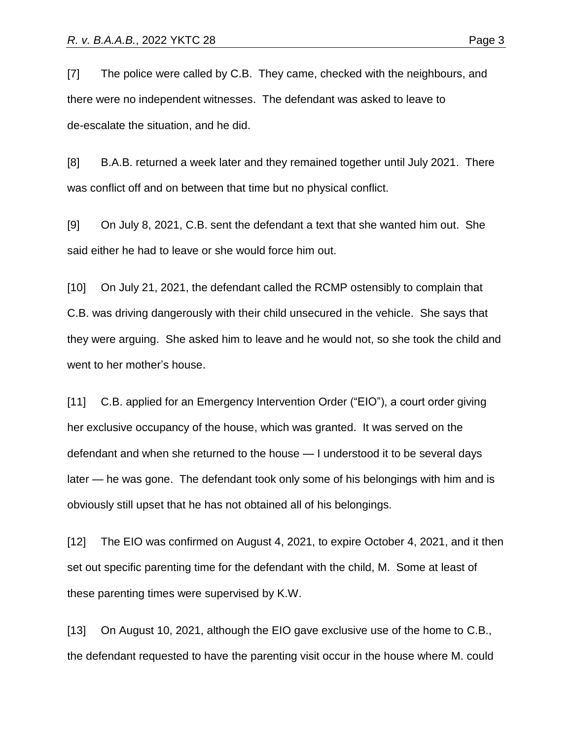[7] The police were called by C.B. They came, checked with the neighbours, and there were no independent witnesses. The defendant was asked to leave to de-escalate the situation, and he did.

[8] B.A.B. returned a week later and they remained together until July 2021. There was conflict off and on between that time but no physical conflict.

[9] On July 8, 2021, C.B. sent the defendant a text that she wanted him out. She said either he had to leave or she would force him out.

[10] On July 21, 2021, the defendant called the RCMP ostensibly to complain that C.B. was driving dangerously with their child unsecured in the vehicle. She says that they were arguing. She asked him to leave and he would not, so she took the child and went to her mother's house.

[11] C.B. applied for an Emergency Intervention Order ("EIO"), a court order giving her exclusive occupancy of the house, which was granted. It was served on the defendant and when she returned to the house — I understood it to be several days later — he was gone. The defendant took only some of his belongings with him and is obviously still upset that he has not obtained all of his belongings.

[12] The EIO was confirmed on August 4, 2021, to expire October 4, 2021, and it then set out specific parenting time for the defendant with the child, M. Some at least of these parenting times were supervised by K.W.

[13] On August 10, 2021, although the EIO gave exclusive use of the home to C.B., the defendant requested to have the parenting visit occur in the house where M. could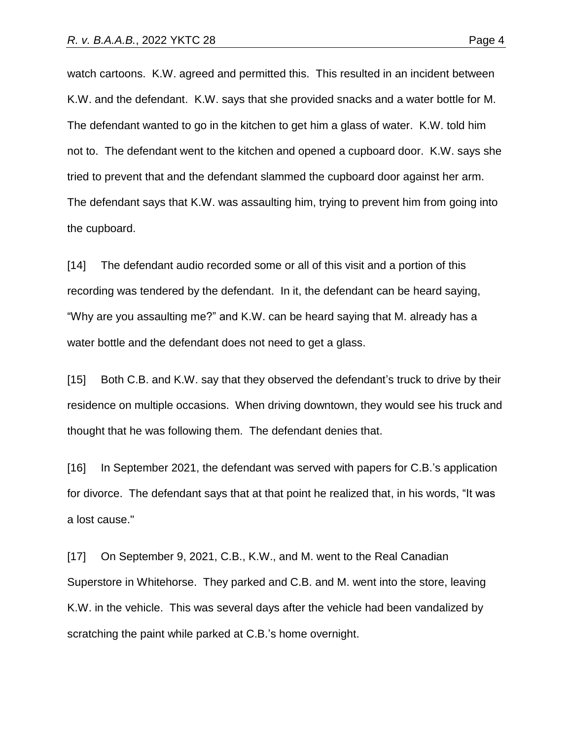watch cartoons. K.W. agreed and permitted this. This resulted in an incident between K.W. and the defendant. K.W. says that she provided snacks and a water bottle for M. The defendant wanted to go in the kitchen to get him a glass of water. K.W. told him not to. The defendant went to the kitchen and opened a cupboard door. K.W. says she tried to prevent that and the defendant slammed the cupboard door against her arm. The defendant says that K.W. was assaulting him, trying to prevent him from going into the cupboard.

[14] The defendant audio recorded some or all of this visit and a portion of this recording was tendered by the defendant. In it, the defendant can be heard saying, "Why are you assaulting me?" and K.W. can be heard saying that M. already has a water bottle and the defendant does not need to get a glass.

[15] Both C.B. and K.W. say that they observed the defendant's truck to drive by their residence on multiple occasions. When driving downtown, they would see his truck and thought that he was following them. The defendant denies that.

[16] In September 2021, the defendant was served with papers for C.B.'s application for divorce. The defendant says that at that point he realized that, in his words, "It was a lost cause."

[17] On September 9, 2021, C.B., K.W., and M. went to the Real Canadian Superstore in Whitehorse. They parked and C.B. and M. went into the store, leaving K.W. in the vehicle. This was several days after the vehicle had been vandalized by scratching the paint while parked at C.B.'s home overnight.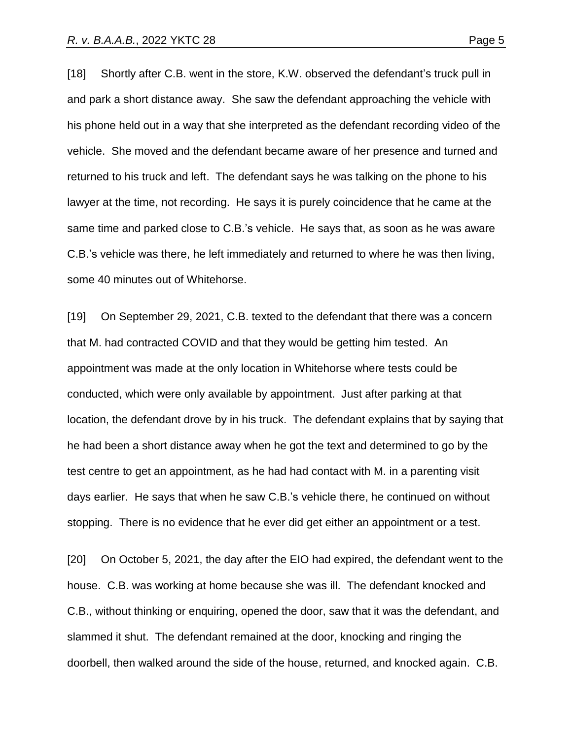[18] Shortly after C.B. went in the store, K.W. observed the defendant's truck pull in and park a short distance away. She saw the defendant approaching the vehicle with his phone held out in a way that she interpreted as the defendant recording video of the vehicle. She moved and the defendant became aware of her presence and turned and returned to his truck and left. The defendant says he was talking on the phone to his lawyer at the time, not recording. He says it is purely coincidence that he came at the same time and parked close to C.B.'s vehicle. He says that, as soon as he was aware C.B.'s vehicle was there, he left immediately and returned to where he was then living, some 40 minutes out of Whitehorse.

[19] On September 29, 2021, C.B. texted to the defendant that there was a concern that M. had contracted COVID and that they would be getting him tested. An appointment was made at the only location in Whitehorse where tests could be conducted, which were only available by appointment. Just after parking at that location, the defendant drove by in his truck. The defendant explains that by saying that he had been a short distance away when he got the text and determined to go by the test centre to get an appointment, as he had had contact with M. in a parenting visit days earlier. He says that when he saw C.B.'s vehicle there, he continued on without stopping. There is no evidence that he ever did get either an appointment or a test.

[20] On October 5, 2021, the day after the EIO had expired, the defendant went to the house. C.B. was working at home because she was ill. The defendant knocked and C.B., without thinking or enquiring, opened the door, saw that it was the defendant, and slammed it shut. The defendant remained at the door, knocking and ringing the doorbell, then walked around the side of the house, returned, and knocked again. C.B.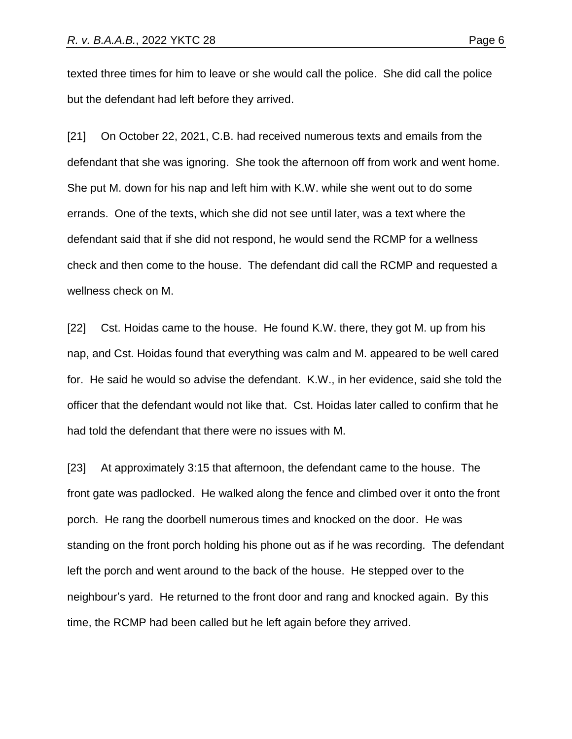texted three times for him to leave or she would call the police. She did call the police but the defendant had left before they arrived.

[21] On October 22, 2021, C.B. had received numerous texts and emails from the defendant that she was ignoring. She took the afternoon off from work and went home. She put M. down for his nap and left him with K.W. while she went out to do some errands. One of the texts, which she did not see until later, was a text where the defendant said that if she did not respond, he would send the RCMP for a wellness check and then come to the house. The defendant did call the RCMP and requested a wellness check on M.

[22] Cst. Hoidas came to the house. He found K.W. there, they got M. up from his nap, and Cst. Hoidas found that everything was calm and M. appeared to be well cared for. He said he would so advise the defendant. K.W., in her evidence, said she told the officer that the defendant would not like that. Cst. Hoidas later called to confirm that he had told the defendant that there were no issues with M.

[23] At approximately 3:15 that afternoon, the defendant came to the house. The front gate was padlocked. He walked along the fence and climbed over it onto the front porch. He rang the doorbell numerous times and knocked on the door. He was standing on the front porch holding his phone out as if he was recording. The defendant left the porch and went around to the back of the house. He stepped over to the neighbour's yard. He returned to the front door and rang and knocked again. By this time, the RCMP had been called but he left again before they arrived.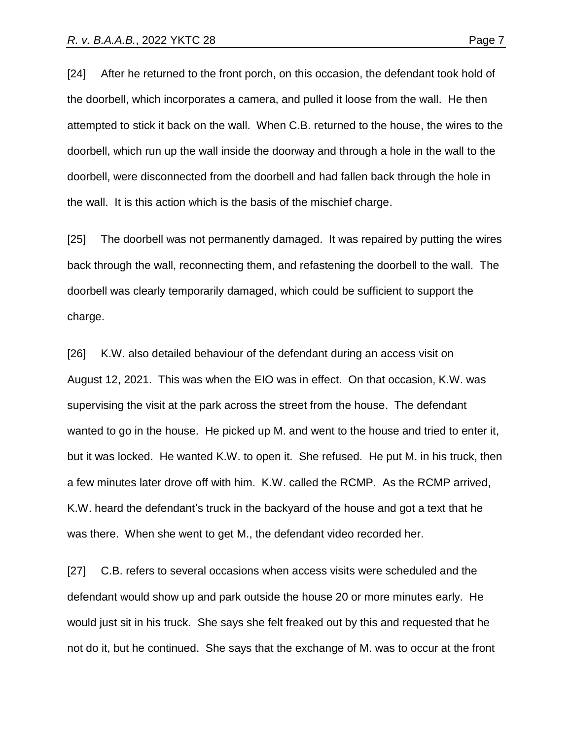[24] After he returned to the front porch, on this occasion, the defendant took hold of the doorbell, which incorporates a camera, and pulled it loose from the wall. He then attempted to stick it back on the wall. When C.B. returned to the house, the wires to the doorbell, which run up the wall inside the doorway and through a hole in the wall to the doorbell, were disconnected from the doorbell and had fallen back through the hole in the wall. It is this action which is the basis of the mischief charge.

[25] The doorbell was not permanently damaged. It was repaired by putting the wires back through the wall, reconnecting them, and refastening the doorbell to the wall. The doorbell was clearly temporarily damaged, which could be sufficient to support the charge.

[26] K.W. also detailed behaviour of the defendant during an access visit on August 12, 2021. This was when the EIO was in effect. On that occasion, K.W. was supervising the visit at the park across the street from the house. The defendant wanted to go in the house. He picked up M. and went to the house and tried to enter it, but it was locked. He wanted K.W. to open it. She refused. He put M. in his truck, then a few minutes later drove off with him. K.W. called the RCMP. As the RCMP arrived, K.W. heard the defendant's truck in the backyard of the house and got a text that he was there. When she went to get M., the defendant video recorded her.

[27] C.B. refers to several occasions when access visits were scheduled and the defendant would show up and park outside the house 20 or more minutes early. He would just sit in his truck. She says she felt freaked out by this and requested that he not do it, but he continued. She says that the exchange of M. was to occur at the front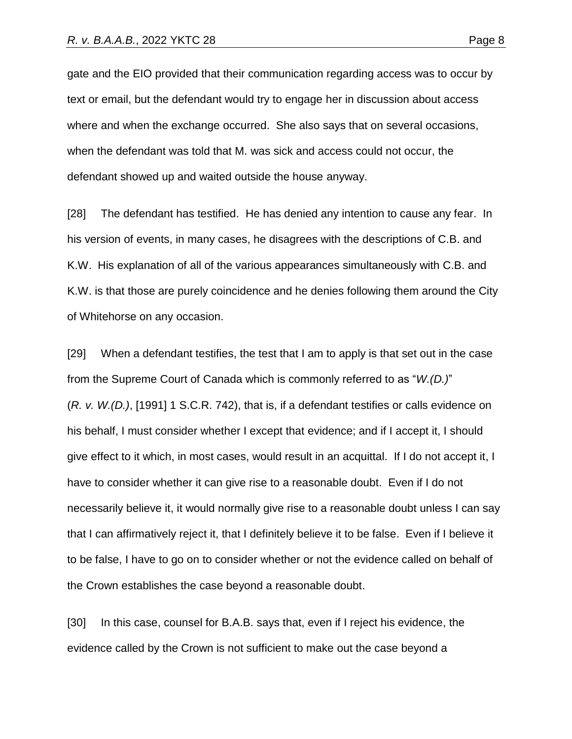gate and the EIO provided that their communication regarding access was to occur by text or email, but the defendant would try to engage her in discussion about access where and when the exchange occurred. She also says that on several occasions, when the defendant was told that M. was sick and access could not occur, the defendant showed up and waited outside the house anyway.

[28] The defendant has testified. He has denied any intention to cause any fear. In his version of events, in many cases, he disagrees with the descriptions of C.B. and K.W. His explanation of all of the various appearances simultaneously with C.B. and K.W. is that those are purely coincidence and he denies following them around the City of Whitehorse on any occasion.

[29] When a defendant testifies, the test that I am to apply is that set out in the case from the Supreme Court of Canada which is commonly referred to as "*W.(D.)*" (*R. v. W.(D.)*, [1991] 1 S.C.R. 742), that is, if a defendant testifies or calls evidence on his behalf, I must consider whether I except that evidence; and if I accept it, I should give effect to it which, in most cases, would result in an acquittal. If I do not accept it, I have to consider whether it can give rise to a reasonable doubt. Even if I do not necessarily believe it, it would normally give rise to a reasonable doubt unless I can say that I can affirmatively reject it, that I definitely believe it to be false. Even if I believe it to be false, I have to go on to consider whether or not the evidence called on behalf of the Crown establishes the case beyond a reasonable doubt.

[30] In this case, counsel for B.A.B. says that, even if I reject his evidence, the evidence called by the Crown is not sufficient to make out the case beyond a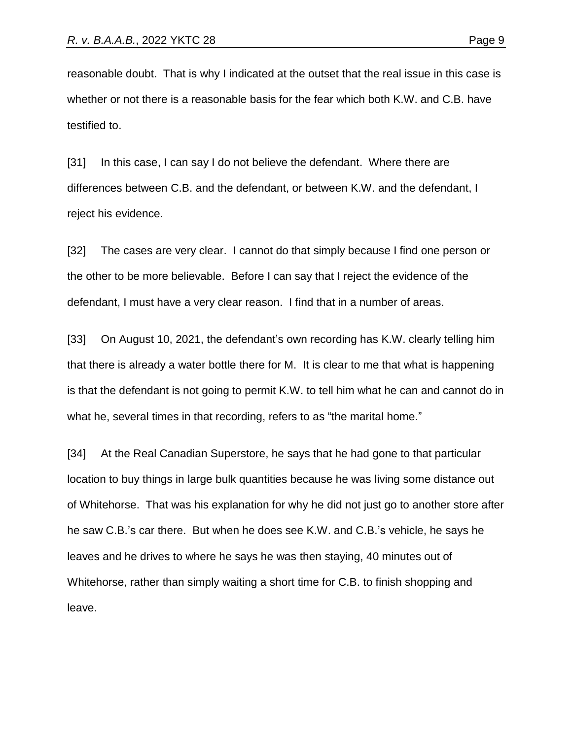reasonable doubt. That is why I indicated at the outset that the real issue in this case is whether or not there is a reasonable basis for the fear which both K.W. and C.B. have testified to.

[31] In this case, I can say I do not believe the defendant. Where there are differences between C.B. and the defendant, or between K.W. and the defendant, I reject his evidence.

[32] The cases are very clear. I cannot do that simply because I find one person or the other to be more believable. Before I can say that I reject the evidence of the defendant, I must have a very clear reason. I find that in a number of areas.

[33] On August 10, 2021, the defendant's own recording has K.W. clearly telling him that there is already a water bottle there for M. It is clear to me that what is happening is that the defendant is not going to permit K.W. to tell him what he can and cannot do in what he, several times in that recording, refers to as "the marital home."

[34] At the Real Canadian Superstore, he says that he had gone to that particular location to buy things in large bulk quantities because he was living some distance out of Whitehorse. That was his explanation for why he did not just go to another store after he saw C.B.'s car there. But when he does see K.W. and C.B.'s vehicle, he says he leaves and he drives to where he says he was then staying, 40 minutes out of Whitehorse, rather than simply waiting a short time for C.B. to finish shopping and leave.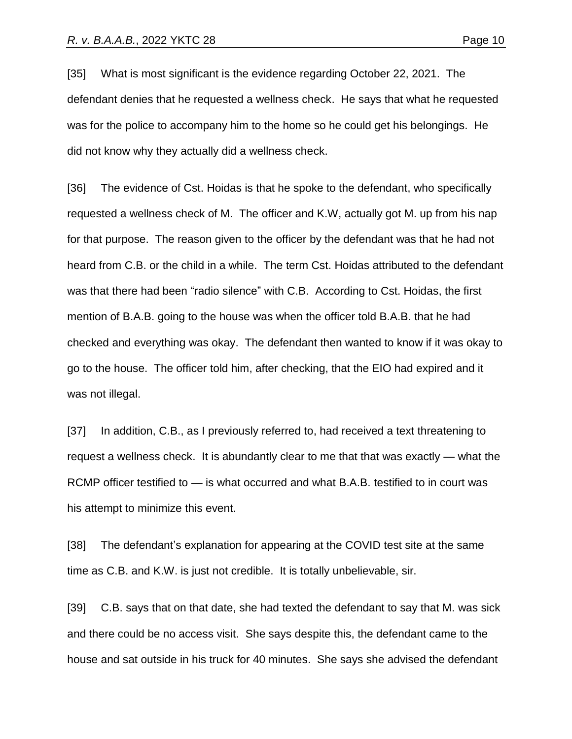[35] What is most significant is the evidence regarding October 22, 2021. The defendant denies that he requested a wellness check. He says that what he requested was for the police to accompany him to the home so he could get his belongings. He did not know why they actually did a wellness check.

[36] The evidence of Cst. Hoidas is that he spoke to the defendant, who specifically requested a wellness check of M. The officer and K.W, actually got M. up from his nap for that purpose. The reason given to the officer by the defendant was that he had not heard from C.B. or the child in a while. The term Cst. Hoidas attributed to the defendant was that there had been "radio silence" with C.B. According to Cst. Hoidas, the first mention of B.A.B. going to the house was when the officer told B.A.B. that he had checked and everything was okay. The defendant then wanted to know if it was okay to go to the house. The officer told him, after checking, that the EIO had expired and it was not illegal.

[37] In addition, C.B., as I previously referred to, had received a text threatening to request a wellness check. It is abundantly clear to me that that was exactly — what the RCMP officer testified to — is what occurred and what B.A.B. testified to in court was his attempt to minimize this event.

[38] The defendant's explanation for appearing at the COVID test site at the same time as C.B. and K.W. is just not credible. It is totally unbelievable, sir.

[39] C.B. says that on that date, she had texted the defendant to say that M. was sick and there could be no access visit. She says despite this, the defendant came to the house and sat outside in his truck for 40 minutes. She says she advised the defendant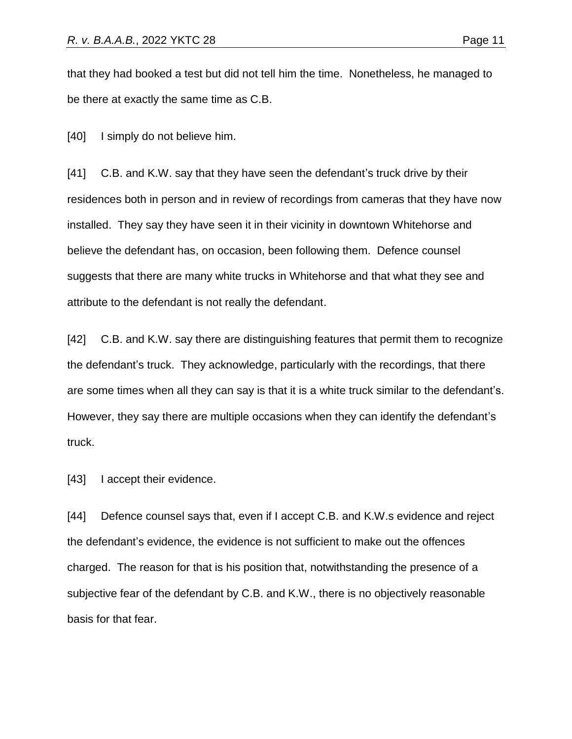that they had booked a test but did not tell him the time. Nonetheless, he managed to be there at exactly the same time as C.B.

[40] I simply do not believe him.

[41] C.B. and K.W. say that they have seen the defendant's truck drive by their residences both in person and in review of recordings from cameras that they have now installed. They say they have seen it in their vicinity in downtown Whitehorse and believe the defendant has, on occasion, been following them. Defence counsel suggests that there are many white trucks in Whitehorse and that what they see and attribute to the defendant is not really the defendant.

[42] C.B. and K.W. say there are distinguishing features that permit them to recognize the defendant's truck. They acknowledge, particularly with the recordings, that there are some times when all they can say is that it is a white truck similar to the defendant's. However, they say there are multiple occasions when they can identify the defendant's truck.

[43] I accept their evidence.

[44] Defence counsel says that, even if I accept C.B. and K.W.s evidence and reject the defendant's evidence, the evidence is not sufficient to make out the offences charged. The reason for that is his position that, notwithstanding the presence of a subjective fear of the defendant by C.B. and K.W., there is no objectively reasonable basis for that fear.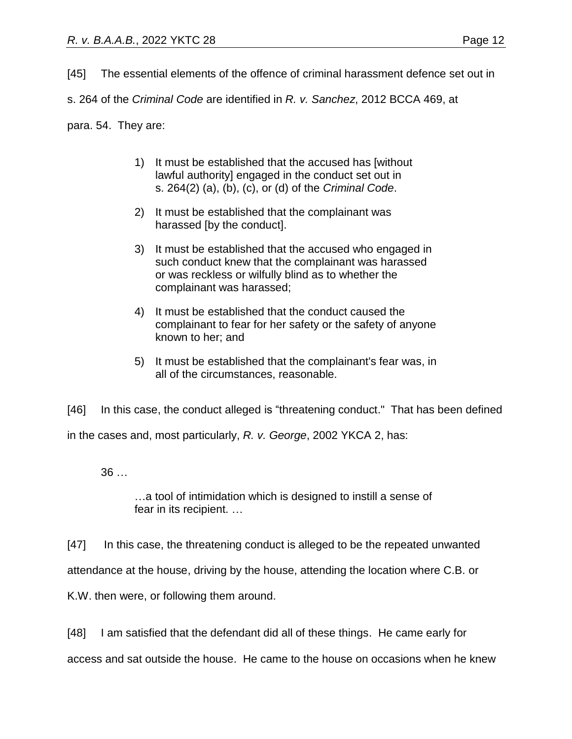[45] The essential elements of the offence of criminal harassment defence set out in

s. 264 of the *Criminal Code* are identified in *R. v. Sanchez*, 2012 BCCA 469, at

para. 54. They are:

- 1) It must be established that the accused has [without lawful authority] engaged in the conduct set out in s. 264(2) (a), (b), (c), or (d) of the *Criminal Code*.
- 2) It must be established that the complainant was harassed [by the conduct].
- 3) It must be established that the accused who engaged in such conduct knew that the complainant was harassed or was reckless or wilfully blind as to whether the complainant was harassed;
- 4) It must be established that the conduct caused the complainant to fear for her safety or the safety of anyone known to her; and
- 5) It must be established that the complainant's fear was, in all of the circumstances, reasonable.

[46] In this case, the conduct alleged is "threatening conduct." That has been defined in the cases and, most particularly, *R. v. George*, 2002 YKCA 2, has:

36 …

…a tool of intimidation which is designed to instill a sense of fear in its recipient. …

[47] In this case, the threatening conduct is alleged to be the repeated unwanted attendance at the house, driving by the house, attending the location where C.B. or

K.W. then were, or following them around.

[48] I am satisfied that the defendant did all of these things. He came early for access and sat outside the house. He came to the house on occasions when he knew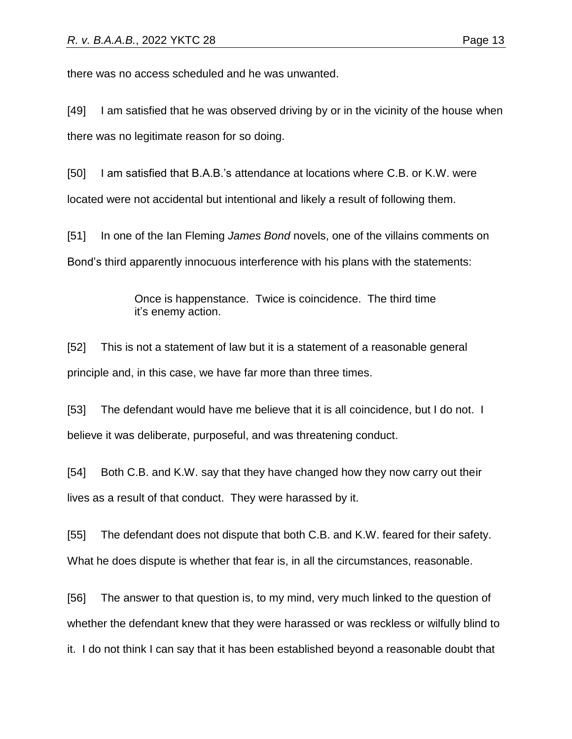there was no access scheduled and he was unwanted.

[49] I am satisfied that he was observed driving by or in the vicinity of the house when there was no legitimate reason for so doing.

[50] I am satisfied that B.A.B.'s attendance at locations where C.B. or K.W. were located were not accidental but intentional and likely a result of following them.

[51] In one of the Ian Fleming *James Bond* novels, one of the villains comments on Bond's third apparently innocuous interference with his plans with the statements:

> Once is happenstance. Twice is coincidence. The third time it's enemy action.

[52] This is not a statement of law but it is a statement of a reasonable general principle and, in this case, we have far more than three times.

[53] The defendant would have me believe that it is all coincidence, but I do not. I believe it was deliberate, purposeful, and was threatening conduct.

[54] Both C.B. and K.W. say that they have changed how they now carry out their lives as a result of that conduct. They were harassed by it.

[55] The defendant does not dispute that both C.B. and K.W. feared for their safety. What he does dispute is whether that fear is, in all the circumstances, reasonable.

[56] The answer to that question is, to my mind, very much linked to the question of whether the defendant knew that they were harassed or was reckless or wilfully blind to it. I do not think I can say that it has been established beyond a reasonable doubt that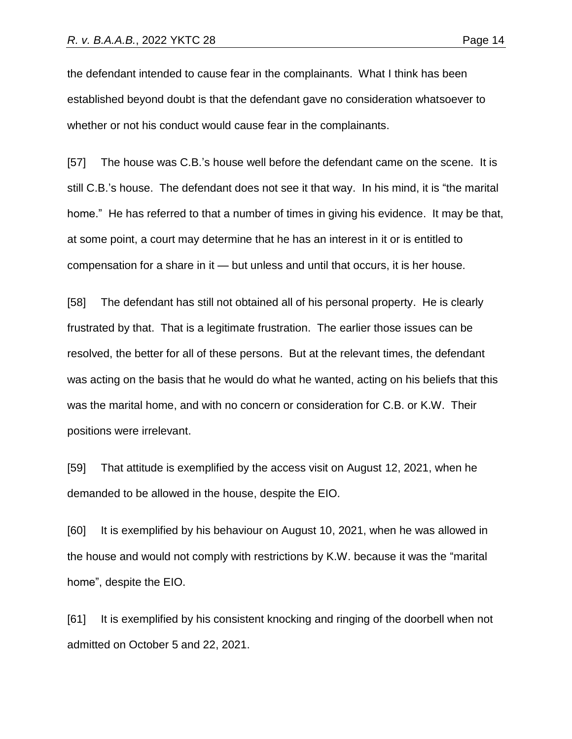the defendant intended to cause fear in the complainants. What I think has been established beyond doubt is that the defendant gave no consideration whatsoever to whether or not his conduct would cause fear in the complainants.

[57] The house was C.B.'s house well before the defendant came on the scene. It is still C.B.'s house. The defendant does not see it that way. In his mind, it is "the marital home." He has referred to that a number of times in giving his evidence. It may be that, at some point, a court may determine that he has an interest in it or is entitled to compensation for a share in it — but unless and until that occurs, it is her house.

[58] The defendant has still not obtained all of his personal property. He is clearly frustrated by that. That is a legitimate frustration. The earlier those issues can be resolved, the better for all of these persons. But at the relevant times, the defendant was acting on the basis that he would do what he wanted, acting on his beliefs that this was the marital home, and with no concern or consideration for C.B. or K.W. Their positions were irrelevant.

[59] That attitude is exemplified by the access visit on August 12, 2021, when he demanded to be allowed in the house, despite the EIO.

[60] It is exemplified by his behaviour on August 10, 2021, when he was allowed in the house and would not comply with restrictions by K.W. because it was the "marital home", despite the EIO.

[61] It is exemplified by his consistent knocking and ringing of the doorbell when not admitted on October 5 and 22, 2021.